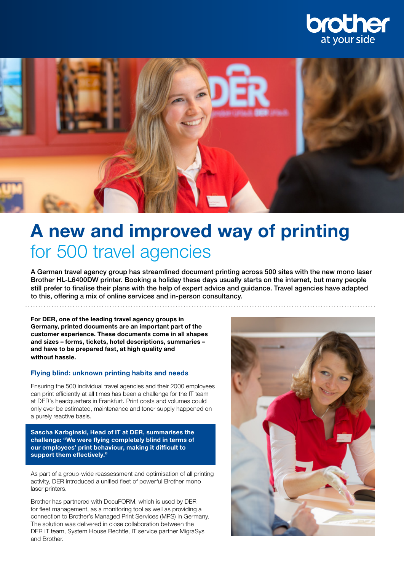



# A new and improved way of printing for 500 travel agencies

A German travel agency group has streamlined document printing across 500 sites with the new mono laser Brother HL-L6400DW printer. Booking a holiday these days usually starts on the internet, but many people still prefer to finalise their plans with the help of expert advice and guidance. Travel agencies have adapted to this, offering a mix of online services and in-person consultancy.

For DER, one of the leading travel agency groups in Germany, printed documents are an important part of the customer experience. These documents come in all shapes and sizes – forms, tickets, hotel descriptions, summaries – and have to be prepared fast, at high quality and without hassle.

#### Flying blind: unknown printing habits and needs

Ensuring the 500 individual travel agencies and their 2000 employees can print efficiently at all times has been a challenge for the IT team at DER's headquarters in Frankfurt. Print costs and volumes could only ever be estimated, maintenance and toner supply happened on a purely reactive basis.

Sascha Karbginski, Head of IT at DER, summarises the challenge: "We were flying completely blind in terms of our employees' print behaviour, making it difficult to support them effectively."

As part of a group-wide reassessment and optimisation of all printing activity, DER introduced a unified fleet of powerful Brother mono laser printers.

Brother has partnered with DocuFORM, which is used by DER for fleet management, as a monitoring tool as well as providing a connection to Brother's Managed Print Services (MPS) in Germany. The solution was delivered in close collaboration between the DER IT team, System House Bechtle, IT service partner MigraSys and Brother.